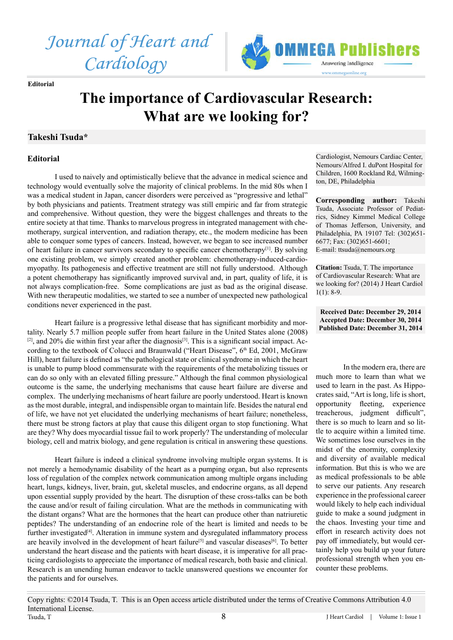*Journal of Heart and Cardiology*



**Editorial** 

## **The importance of Cardiovascular Research: What are we looking for?**

## **Takeshi Tsuda\***

## **Editorial**

I used to naively and optimistically believe that the advance in medical science and technology would eventually solve the majority of clinical problems. In the mid 80s when I was a medical student in Japan, cancer disorders were perceived as "progressive and lethal" by both physicians and patients. Treatment strategy was still empiric and far from strategic and comprehensive. Without question, they were the biggest challenges and threats to the entire society at that time. Thanks to marvelous progress in integrated management with chemotherapy, surgical intervention, and radiation therapy, etc., the modern medicine has been able to conquer some types of cancers. Instead, however, we began to see increased number of heart failure in cancer survivors secondary to specific cancer chemotherapy[1]. By solving one existing problem, we simply created another problem: chemotherapy-induced-cardiomyopathy. Its pathogenesis and effective treatment are still not fully understood. Although a potent chemotherapy has significantly improved survival and, in part, quality of life, it is not always complication-free. Some complications are just as bad as the original disease. With new therapeutic modalities, we started to see a number of unexpected new pathological conditions never experienced in the past.

Heart failure is a progressive lethal disease that has significant morbidity and mortality. Nearly 5.7 million people suffer from heart failure in the United States alone (2008)  $[2]$ , and 20% die within first year after the diagnosis<sup>[3]</sup>. This is a significant social impact. According to the textbook of Colucci and Braunwald ("Heart Disease", 6th Ed, 2001, McGraw Hill), heart failure is defined as "the pathological state or clinical syndrome in which the heart is unable to pump blood commensurate with the requirements of the metabolizing tissues or can do so only with an elevated filling pressure." Although the final common physiological outcome is the same, the underlying mechanisms that cause heart failure are diverse and complex. The underlying mechanisms of heart failure are poorly understood. Heart is known as the most durable, integral, and indispensible organ to maintain life. Besides the natural end of life, we have not yet elucidated the underlying mechanisms of heart failure; nonetheless, there must be strong factors at play that cause this diligent organ to stop functioning. What are they? Why does myocardial tissue fail to work properly? The understanding of molecular biology, cell and matrix biology, and gene regulation is critical in answering these questions.

Heart failure is indeed a clinical syndrome involving multiple organ systems. It is not merely a hemodynamic disability of the heart as a pumping organ, but also represents loss of regulation of the complex network communication among multiple organs including heart, lungs, kidneys, liver, brain, gut, skeletal muscles, and endocrine organs, as all depend upon essential supply provided by the heart. The disruption of these cross-talks can be both the cause and/or result of failing circulation. What are the methods in communicating with the distant organs? What are the hormones that the heart can produce other than natriuretic peptides? The understanding of an endocrine role of the heart is limited and needs to be further investigated<sup>[4]</sup>. Alteration in immune system and dysregulated inflammatory process are heavily involved in the development of heart failure<sup>[5]</sup> and vascular diseases<sup>[6]</sup>. To better understand the heart disease and the patients with heart disease, it is imperative for all practicing cardiologists to appreciate the importance of medical research, both basic and clinical. Research is an unending human endeavor to tackle unanswered questions we encounter for the patients and for ourselves.

Cardiologist, Nemours Cardiac Center, Nemours/Alfred I. duPont Hospital for Children, 1600 Rockland Rd, Wilmington, DE, Philadelphia

**Corresponding author:** Takeshi Tsuda, Associate Professor of Pediatrics, Sidney Kimmel Medical College of Thomas Jefferson, University, and Philadelphia, PA 19107 Tel: (302)651- 6677; Fax: (302)651-6601; E-mail: ttsuda@nemours.org

**Citation:** Tsuda, T. The importance of Cardiovascular Research: What are we looking for? (2014) J Heart Cardiol  $1(1): 8-9.$ 

**Received Date: December 29, 2014 Accepted Date: December 30, 2014 Published Date: December 31, 2014**

In the modern era, there are much more to learn than what we used to learn in the past. As Hippocrates said, "Art is long, life is short, opportunity fleeting, experience treacherous, judgment difficult", there is so much to learn and so little to acquire within a limited time. We sometimes lose ourselves in the midst of the enormity, complexity and diversity of available medical information. But this is who we are as medical professionals to be able to serve our patients. Any research experience in the professional career would likely to help each individual guide to make a sound judgment in the chaos. Investing your time and effort in research activity does not pay off immediately, but would certainly help you build up your future professional strength when you encounter these problems.

J Heart Cardiol | Volume 1: Issue 1 Copy rights: ©2014 Tsuda, T. This is an Open access article distributed under the terms of Creative Commons Attribution 4.0 International License. Tsuda, T